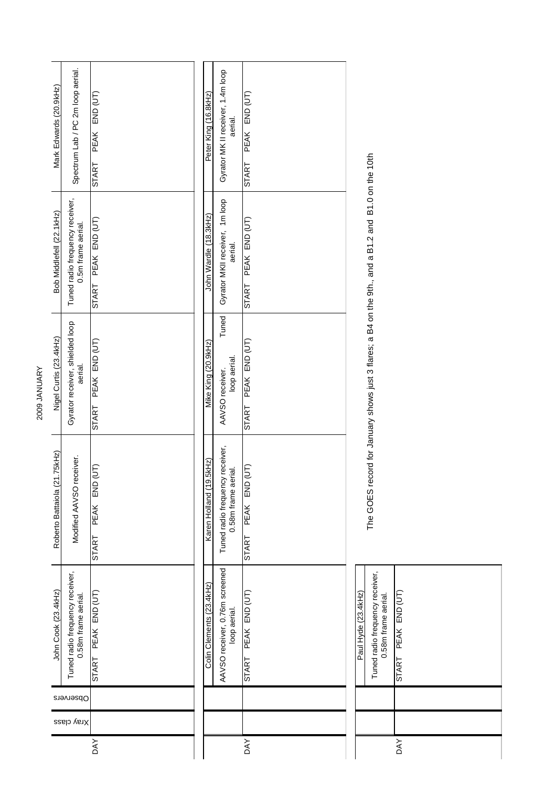| Mark Edwards (20.9kHz)       | Spectrum Lab / PC 2m loop aerial.                      | PEAK END (UT)                              | Peter King (16.8kHz)     | Gyrator MK II receiver, 1.4m loop<br>aerial.           | PEAK END (UT)                 |                     |
|------------------------------|--------------------------------------------------------|--------------------------------------------|--------------------------|--------------------------------------------------------|-------------------------------|---------------------|
|                              |                                                        | <b>START</b>                               |                          |                                                        | START                         |                     |
| Bob Middlefell (22.1 kHz)    | Tuned radio frequency receiver,<br>0.5m frame aerial.  | PEAK END (UT)<br><b>START</b>              | John Wardle (18.3kHz)    | Gyrator MKII receiver, 1m loop<br>aerial.              | PEAK END (UT)<br><b>START</b> |                     |
| Nigel Curtis (23.4kHz)       | Gyrator receiver, shielded loop<br>aerial.             | PEAK END (UT)<br><b>START</b>              | Mike King (20.9kHz)      | Tuned<br>loop aerial.<br>AAVSO receiver.               | PEAK END (UT)<br>START        |                     |
| Roberto Battaiola (21.75kHz) | Modified AAVSO receiver.                               | (UT)<br>END<br><b>PEAK</b><br><b>START</b> | Karen Holland (19.5kHz)  | Tuned radio frequency receiver,<br>0.58m frame aerial. | (TU)<br>END<br>PEAK<br>START  |                     |
| John Cook (23.4kHz)          | Tuned radio frequency receiver,<br>0.58m frame aerial. | START PEAK END (UT)                        | Colin Clements (23.4kHz) | AAVSO receiver, 0.76m screened<br>loop aerial          | START PEAK END (UT)           | Paul Hyde (23.4kHz) |
|                              | Observers                                              |                                            |                          |                                                        |                               |                     |
|                              | Xray class                                             |                                            |                          |                                                        |                               |                     |
|                              |                                                        | <b>DAY</b>                                 |                          |                                                        | DAY                           |                     |

| Lam Live (19:42) | Tuned radio frequency receiver,<br>0.58m frame aerial. | START PEAK END (UT) |
|------------------|--------------------------------------------------------|---------------------|
|                  |                                                        |                     |
|                  |                                                        |                     |
|                  |                                                        | DAY                 |

The GOES record for January shows just 3 flares; a B4 on the 9th., and a B1.2 and B1.0 on the 10th The GOES record for January shows just 3 flares; a B4 on the 9th., and a B1.2 and B1.0 on the 10th

2009 JANUARY 2009 JANUARY